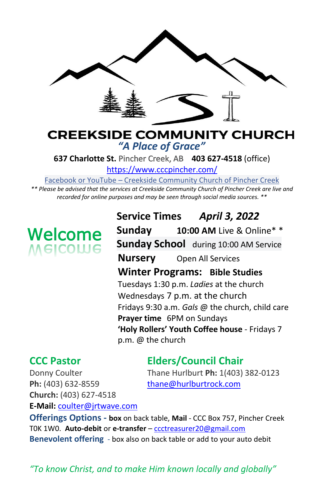

# **CREEKSIDE COMMUNITY CHURCH** *"A Place of Grace"*

**637 Charlotte St.** Pincher Creek, AB **403 627-4518** (office)

<https://www.cccpincher.com/>

Facebook or YouTube – Creekside Community Church of Pincher Creek

*\*\* Please be advised that the services at Creekside Community Church of Pincher Creek are live and recorded for online purposes and may be seen through social media sources. \*\**

# **Welcome**<br>Melcolue

**Service Times** *April 3, 2022* **Sunday 10:00 AM** Live & Online\* \* **Sunday School** during 10:00 AM Service **Nursery** Open All Services **Winter Programs: Bible Studies** Tuesdays 1:30 p.m. *Ladies* at the church Wednesdays 7 p.m. at the church Fridays 9:30 a.m. *Gals* @ the church, child care **Prayer time** 6PM on Sundays **'Holy Rollers' Youth Coffee house** - Fridays 7 p.m. @ the church

# **CCC Pastor Elders/Council Chair**

Donny Coulter Thane Hurlburt **Ph:** 1(403) 382-0123

Ph: (403) 632-8559 [thane@hurlburtrock.com](mailto:thane@hurlburtrock.com) **Church:** (403) 627-4518 **E-Mail:** [coulter@jrtwave.com](mailto:coulter@jrtwave.com)

**Offerings Options - box** on back table, **Mail** - CCC Box 757, Pincher Creek T0K 1W0. **Auto-debit** or **e-transfer** – [ccctreasurer20@gmail.com](mailto:ccctreasurer20@gmail.com) **Benevolent offering** - box also on back table or add to your auto debit

*"To know Christ, and to make Him known locally and globally"*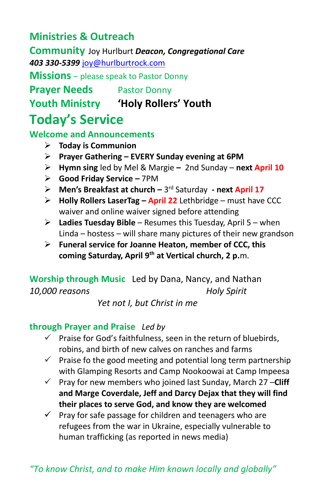# **Ministries & Outreach**

**Community** Joy Hurlburt *Deacon, Congregational Care 403 330-5399* [joy@hurlburtrock.com](mailto:joy@hurlburtrock.com)

**Missions** – please speak to Pastor Donny

**Prayer Needs** Pastor Donny

**Youth Ministry 'Holy Rollers' Youth**

# **Today's Service**

**Welcome and Announcements** 

- ➢ **Today is Communion**
- ➢ **Prayer Gathering – EVERY Sunday evening at 6PM**
- ➢ **Hymn sing** led by Mel & Margie **–** 2nd Sunday **next April 10**
- ➢ **Good Friday Service –** 7PM
- ➢ **Men's Breakfast at church –** 3 rd Saturday **- next April 17**
- ➢ **Holly Rollers LaserTag – April 22** Lethbridge must have CCC waiver and online waiver signed before attending
- ➢ **Ladies Tuesday Bible** Resumes this Tuesday, April 5 when Linda – hostess – will share many pictures of their new grandson
- ➢ **Funeral service for Joanne Heaton, member of CCC, this coming Saturday, April 9th at Vertical church, 2 p.**m.

**Worship through Music**Led by Dana, Nancy, and Nathan *10,000 reasons Holy Spirit* 

 *Yet not I, but Christ in me*

# **through Prayer and Praise** *Led by*

- $\checkmark$  Praise for God's faithfulness, seen in the return of bluebirds, robins, and birth of new calves on ranches and farms
- $\checkmark$  Praise fo the good meeting and potential long term partnership with Glamping Resorts and Camp Nookoowai at Camp Impeesa
- ✓ Pray for new members who joined last Sunday, March 27 –**Cliff and Marge Coverdale, Jeff and Darcy Dejax that they will find their places to serve God, and know they are welcomed**
- $\checkmark$  Pray for safe passage for children and teenagers who are refugees from the war in Ukraine, especially vulnerable to human trafficking (as reported in news media)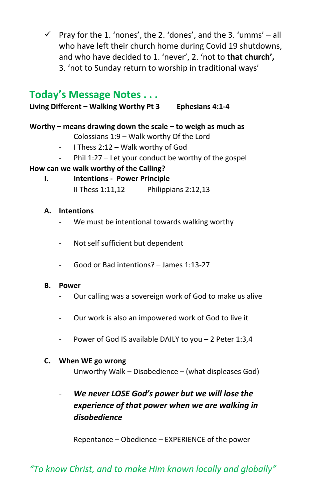$\checkmark$  Pray for the 1. 'nones', the 2. 'dones', and the 3. 'umms' – all who have left their church home during Covid 19 shutdowns, and who have decided to 1. 'never', 2. 'not to **that church',** 3. 'not to Sunday return to worship in traditional ways'

# **Today's Message Notes . . .**

**Living Different – Walking Worthy Pt 3 Ephesians 4:1-4**

#### **Worthy – means drawing down the scale – to weigh as much as**

- Colossians  $1:9 -$  Walk worthy Of the Lord
- I Thess 2:12 Walk worthy of God
- Phil 1:27 Let your conduct be worthy of the gospel

### **How can we walk worthy of the Calling?**

- **I. Intentions - Power Principle**
	- II Thess 1:11,12 Philippians 2:12,13

#### **A. Intentions**

- We must be intentional towards walking worthy
- Not self sufficient but dependent
- Good or Bad intentions? James 1:13-27

#### **B. Power**

- Our calling was a sovereign work of God to make us alive
- Our work is also an impowered work of God to live it
- Power of God IS available DAILY to you 2 Peter 1:3,4

#### **C. When WE go wrong**

Unworthy Walk – Disobedience – (what displeases God)

## - *We never LOSE God's power but we will lose the experience of that power when we are walking in disobedience*

Repentance – Obedience – EXPERIENCE of the power

# *"To know Christ, and to make Him known locally and globally"*